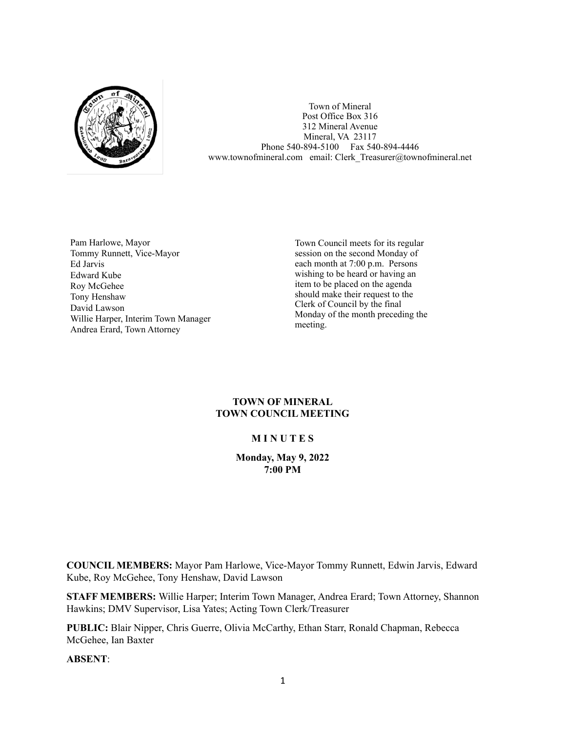

Town of Mineral Post Office Box 316 312 Mineral Avenue Mineral, VA 23117 Phone 540-894-5100 Fax 540-894-4446 www.townofmineral.com email: Clerk Treasurer@townofmineral.net

Pam Harlowe, Mayor Tommy Runnett, Vice-Mayor Ed Jarvis Edward Kube Roy McGehee Tony Henshaw David Lawson Willie Harper, Interim Town Manager Andrea Erard, Town Attorney

Town Council meets for its regular session on the second Monday of each month at 7:00 p.m. Persons wishing to be heard or having an item to be placed on the agenda should make their request to the Clerk of Council by the final Monday of the month preceding the meeting.

# **TOWN OF MINERAL TOWN COUNCIL MEETING**

# **M I N U T E S**

# **Monday, May 9, 2022 7:00 PM**

**COUNCIL MEMBERS:** Mayor Pam Harlowe, Vice-Mayor Tommy Runnett, Edwin Jarvis, Edward Kube, Roy McGehee, Tony Henshaw, David Lawson

**STAFF MEMBERS:** Willie Harper; Interim Town Manager, Andrea Erard; Town Attorney, Shannon Hawkins; DMV Supervisor, Lisa Yates; Acting Town Clerk/Treasurer

**PUBLIC:** Blair Nipper, Chris Guerre, Olivia McCarthy, Ethan Starr, Ronald Chapman, Rebecca McGehee, Ian Baxter

**ABSENT**: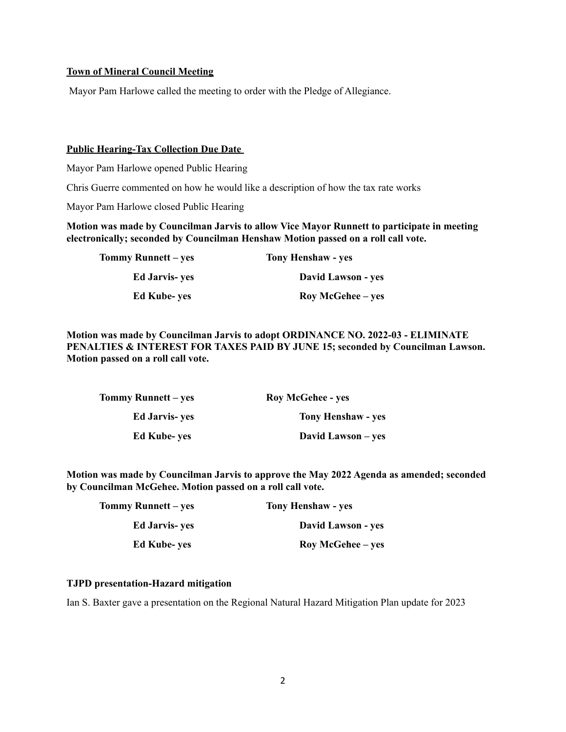# **Town of Mineral Council Meeting**

Mayor Pam Harlowe called the meeting to order with the Pledge of Allegiance.

# **Public Hearing-Tax Collection Due Date**

Mayor Pam Harlowe opened Public Hearing

Chris Guerre commented on how he would like a description of how the tax rate works

Mayor Pam Harlowe closed Public Hearing

**Motion was made by Councilman Jarvis to allow Vice Mayor Runnett to participate in meeting electronically; seconded by Councilman Henshaw Motion passed on a roll call vote.**

| Tommy Runnett – yes   | <b>Tony Henshaw - yes</b> |
|-----------------------|---------------------------|
| <b>Ed Jarvis- yes</b> | David Lawson - yes        |
| <b>Ed Kube-yes</b>    | <b>Roy McGehee</b> – yes  |

**Motion was made by Councilman Jarvis to adopt ORDINANCE NO. 2022-03 - ELIMINATE PENALTIES & INTEREST FOR TAXES PAID BY JUNE 15; seconded by Councilman Lawson. Motion passed on a roll call vote.**

| <b>Roy McGehee - yes</b>  | Tommy Runnett – yes   |
|---------------------------|-----------------------|
| <b>Tony Henshaw - yes</b> | <b>Ed Jarvis- ves</b> |
| David Lawson – yes        | <b>Ed Kube- yes</b>   |

**Motion was made by Councilman Jarvis to approve the May 2022 Agenda as amended; seconded by Councilman McGehee. Motion passed on a roll call vote.**

| Tommy Runnett – yes   | <b>Tony Henshaw - yes</b> |
|-----------------------|---------------------------|
| <b>Ed Jarvis- yes</b> | David Lawson - yes        |
| <b>Ed Kube-yes</b>    | <b>Roy McGehee</b> – yes  |

# **TJPD presentation-Hazard mitigation**

Ian S. Baxter gave a presentation on the Regional Natural Hazard Mitigation Plan update for 2023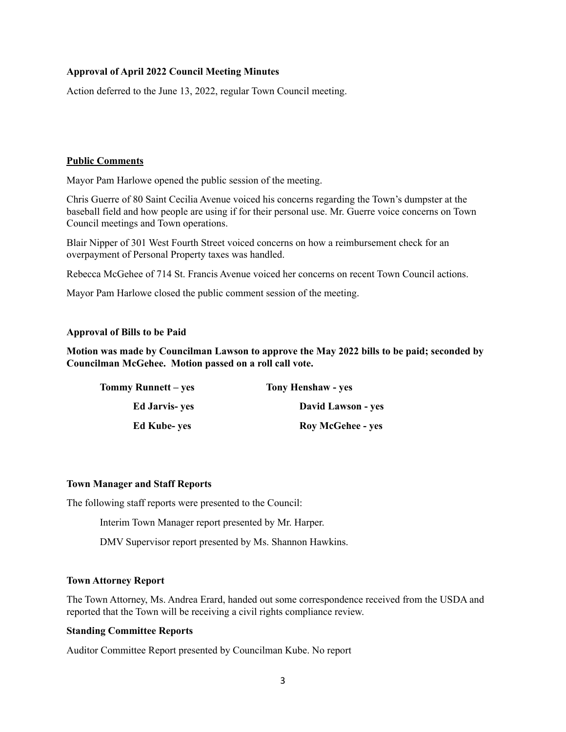# **Approval of April 2022 Council Meeting Minutes**

Action deferred to the June 13, 2022, regular Town Council meeting.

## **Public Comments**

Mayor Pam Harlowe opened the public session of the meeting.

Chris Guerre of 80 Saint Cecilia Avenue voiced his concerns regarding the Town's dumpster at the baseball field and how people are using if for their personal use. Mr. Guerre voice concerns on Town Council meetings and Town operations.

Blair Nipper of 301 West Fourth Street voiced concerns on how a reimbursement check for an overpayment of Personal Property taxes was handled.

Rebecca McGehee of 714 St. Francis Avenue voiced her concerns on recent Town Council actions.

Mayor Pam Harlowe closed the public comment session of the meeting.

### **Approval of Bills to be Paid**

**Motion was made by Councilman Lawson to approve the May 2022 bills to be paid; seconded by Councilman McGehee. Motion passed on a roll call vote.**

| <b>Tommy Runnett</b> – yes | <b>Tony Henshaw - yes</b> |
|----------------------------|---------------------------|
| <b>Ed Jarvis- yes</b>      | <b>David Lawson - yes</b> |
| <b>Ed Kube- yes</b>        | <b>Roy McGehee - yes</b>  |

### **Town Manager and Staff Reports**

The following staff reports were presented to the Council:

Interim Town Manager report presented by Mr. Harper.

DMV Supervisor report presented by Ms. Shannon Hawkins.

### **Town Attorney Report**

The Town Attorney, Ms. Andrea Erard, handed out some correspondence received from the USDA and reported that the Town will be receiving a civil rights compliance review.

# **Standing Committee Reports**

Auditor Committee Report presented by Councilman Kube. No report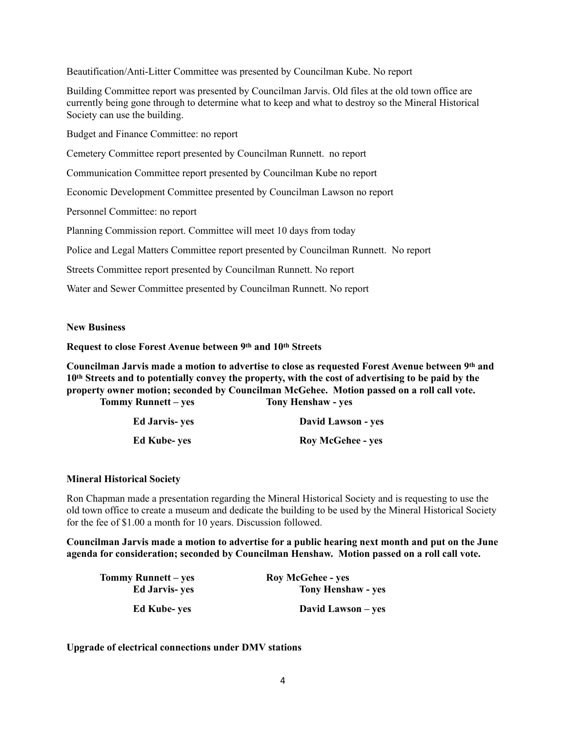Beautification/Anti-Litter Committee was presented by Councilman Kube. No report

Building Committee report was presented by Councilman Jarvis. Old files at the old town office are currently being gone through to determine what to keep and what to destroy so the Mineral Historical Society can use the building.

Budget and Finance Committee: no report

Cemetery Committee report presented by Councilman Runnett. no report

Communication Committee report presented by Councilman Kube no report

Economic Development Committee presented by Councilman Lawson no report

Personnel Committee: no report

Planning Commission report. Committee will meet 10 days from today

Police and Legal Matters Committee report presented by Councilman Runnett. No report

Streets Committee report presented by Councilman Runnett. No report

Water and Sewer Committee presented by Councilman Runnett. No report

#### **New Business**

**Request to close Forest Avenue between 9th and 10th Streets**

**Councilman Jarvis made a motion to advertise to close as requested Forest Avenue between 9th and 10th Streets and to potentially convey the property, with the cost of advertising to be paid by the property owner motion; seconded by Councilman McGehee. Motion passed on a roll call vote.**

**Tony Henshaw - yes** 

| Tommy Runnett – yes |
|---------------------|
|                     |

| <b>Ed Jarvis-yes</b> | David Lawson - yes       |
|----------------------|--------------------------|
| <b>Ed Kube-yes</b>   | <b>Roy McGehee - yes</b> |

#### **Mineral Historical Society**

Ron Chapman made a presentation regarding the Mineral Historical Society and is requesting to use the old town office to create a museum and dedicate the building to be used by the Mineral Historical Society for the fee of \$1.00 a month for 10 years. Discussion followed.

**Councilman Jarvis made a motion to advertise for a public hearing next month and put on the June agenda for consideration; seconded by Councilman Henshaw. Motion passed on a roll call vote.**

| Tommy Runnett – yes  | <b>Roy McGehee - yes</b>  |
|----------------------|---------------------------|
| <b>Ed Jarvis-yes</b> | <b>Tony Henshaw - yes</b> |
| <b>Ed Kube- ves</b>  | David Lawson – yes        |

**Upgrade of electrical connections under DMV stations**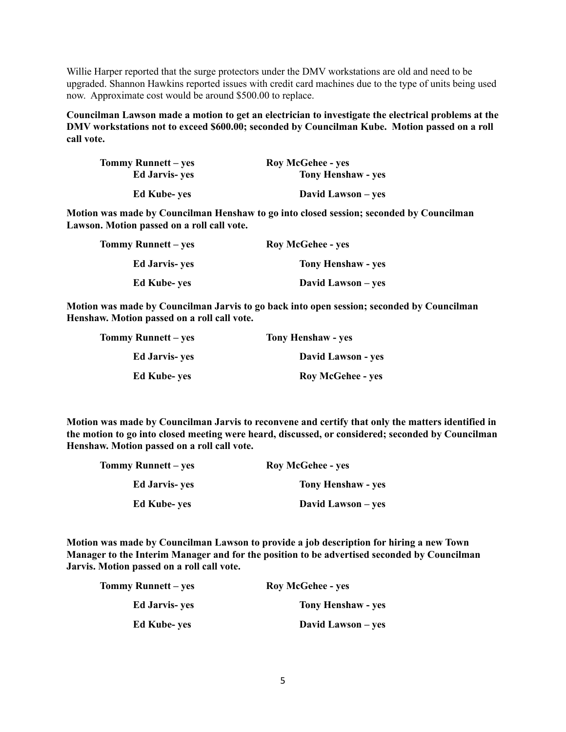Willie Harper reported that the surge protectors under the DMV workstations are old and need to be upgraded. Shannon Hawkins reported issues with credit card machines due to the type of units being used now. Approximate cost would be around \$500.00 to replace.

**Councilman Lawson made a motion to get an electrician to investigate the electrical problems at the DMV workstations not to exceed \$600.00; seconded by Councilman Kube. Motion passed on a roll call vote.**

| Tommy Runnett – yes   | <b>Roy McGehee - yes</b>  |
|-----------------------|---------------------------|
| <b>Ed Jarvis- yes</b> | <b>Tony Henshaw - yes</b> |
| <b>Ed Kube-yes</b>    | David Lawson – yes        |

**Motion was made by Councilman Henshaw to go into closed session; seconded by Councilman Lawson. Motion passed on a roll call vote.**

| Tommy Runnett – yes   | <b>Roy McGehee - yes</b>  |
|-----------------------|---------------------------|
| <b>Ed Jarvis- yes</b> | <b>Tony Henshaw - yes</b> |
| <b>Ed Kube-yes</b>    | David Lawson – yes        |

**Motion was made by Councilman Jarvis to go back into open session; seconded by Councilman Henshaw. Motion passed on a roll call vote.**

| Tommy Runnett – yes   | <b>Tony Henshaw - yes</b> |
|-----------------------|---------------------------|
| <b>Ed Jarvis- yes</b> | David Lawson - yes        |
| <b>Ed Kube-yes</b>    | <b>Roy McGehee - yes</b>  |

**Motion was made by Councilman Jarvis to reconvene and certify that only the matters identified in the motion to go into closed meeting were heard, discussed, or considered; seconded by Councilman Henshaw. Motion passed on a roll call vote.**

| Tommy Runnett – yes   | <b>Roy McGehee - yes</b>  |
|-----------------------|---------------------------|
| <b>Ed Jarvis- yes</b> | <b>Tony Henshaw - yes</b> |
| <b>Ed Kube-yes</b>    | David Lawson – yes        |

**Motion was made by Councilman Lawson to provide a job description for hiring a new Town Manager to the Interim Manager and for the position to be advertised seconded by Councilman Jarvis. Motion passed on a roll call vote.**

| Tommy Runnett – yes   | <b>Roy McGehee - yes</b>  |
|-----------------------|---------------------------|
| <b>Ed Jarvis- yes</b> | <b>Tony Henshaw - yes</b> |
| <b>Ed Kube-yes</b>    | David Lawson – yes        |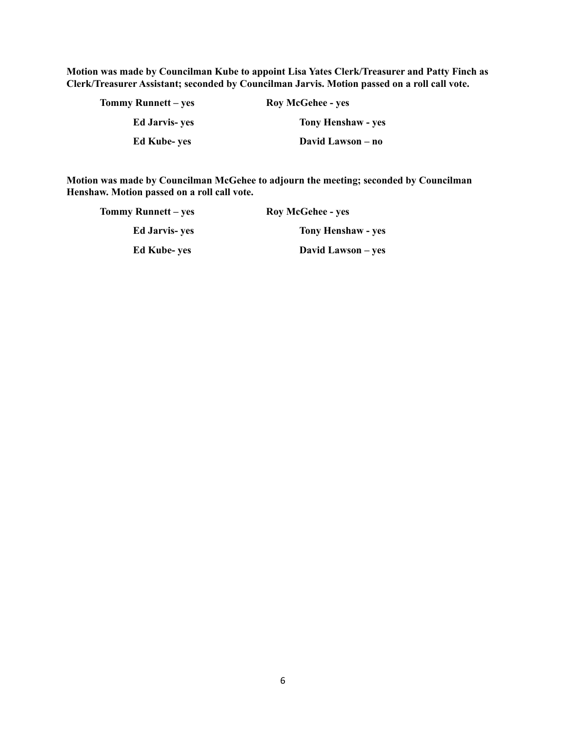**Motion was made by Councilman Kube to appoint Lisa Yates Clerk/Treasurer and Patty Finch as Clerk/Treasurer Assistant; seconded by Councilman Jarvis. Motion passed on a roll call vote.**

| Tommy Runnett – yes   | <b>Roy McGehee - yes</b>  |
|-----------------------|---------------------------|
| <b>Ed Jarvis- yes</b> | <b>Tony Henshaw - yes</b> |
| <b>Ed Kube-yes</b>    | David Lawson – no         |

**Motion was made by Councilman McGehee to adjourn the meeting; seconded by Councilman Henshaw. Motion passed on a roll call vote.**

| Tommy Runnett – yes  | <b>Roy McGehee - yes</b>  |
|----------------------|---------------------------|
| <b>Ed Jarvis-yes</b> | <b>Tony Henshaw - yes</b> |
| <b>Ed Kube-yes</b>   | David Lawson – yes        |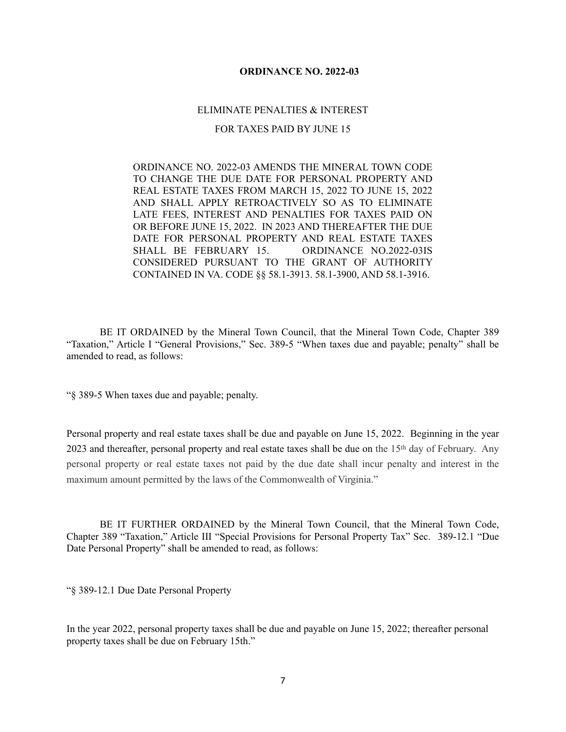### **ORDINANCE NO. 2022-03**

#### ELIMINATE PENALTIES & INTEREST

#### FOR TAXES PAID BY JUNE 15

ORDINANCE NO. 2022-03 AMENDS THE MINERAL TOWN CODE TO CHANGE THE DUE DATE FOR PERSONAL PROPERTY AND REAL ESTATE TAXES FROM MARCH 15, 2022 TO JUNE 15, 2022 AND SHALL APPLY RETROACTIVELY SO AS TO ELIMINATE LATE FEES, INTEREST AND PENALTIES FOR TAXES PAID ON OR BEFORE JUNE 15, 2022. IN 2023 AND THEREAFTER THE DUE DATE FOR PERSONAL PROPERTY AND REAL ESTATE TAXES SHALL BE FEBRUARY 15. ORDINANCE NO.2022-03IS CONSIDERED PURSUANT TO THE GRANT OF AUTHORITY CONTAINED IN VA. CODE §§ 58.1-3913. 58.1-3900, AND 58.1-3916.

BE IT ORDAINED by the Mineral Town Council, that the Mineral Town Code, Chapter 389 "Taxation," Article I "General Provisions," Sec. 389-5 "When taxes due and payable; penalty" shall be amended to read, as follows:

"[§ 389-5 When taxes due and payable; penalty.](https://ecode360.com/12068957#12068961) 

Personal property and real estate taxes shall be due and payable on June 15, 2022. Beginning in the year 2023 and thereafter, personal property and real estate taxes shall be due on the 15th day of February. Any personal property or real estate taxes not paid by the due date shall incur penalty and interest in the maximum amount permitted by the laws of the Commonwealth of Virginia."

BE IT FURTHER ORDAINED by the Mineral Town Council, that the Mineral Town Code, Chapter 389 "Taxation," Article III "Special Provisions for Personal Property Tax" Sec. 389-12.1 "Due Date Personal Property" shall be amended to read, as follows:

"§ 389-12.1 Due Date Personal Property

In the year 2022, personal property taxes shall be due and payable on June 15, 2022; thereafter personal property taxes shall be due on February 15th."